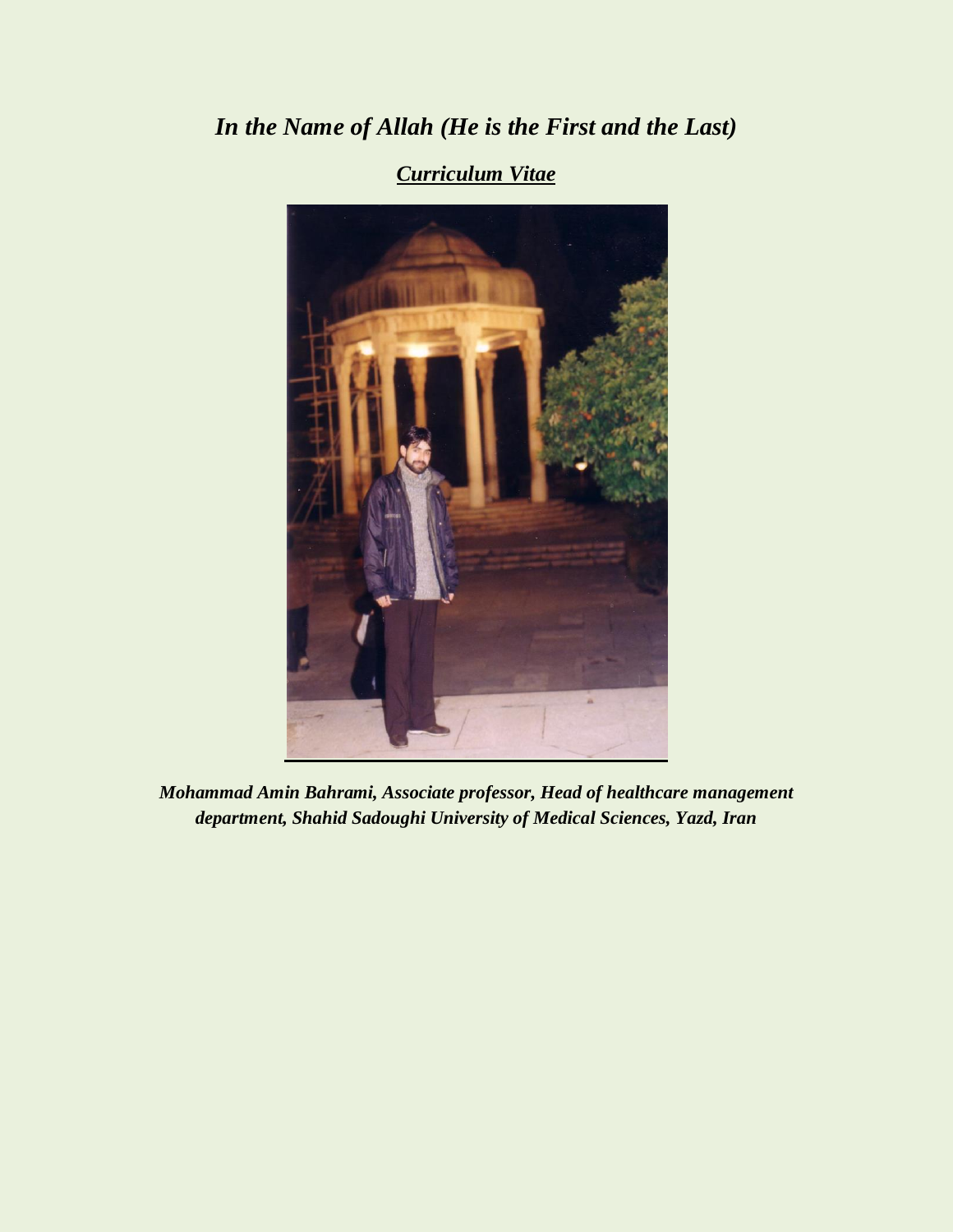# *In the Name of Allah (He is the First and the Last)*



*Curriculum Vitae*

*Mohammad Amin Bahrami, Associate professor, Head of healthcare management department, Shahid Sadoughi University of Medical Sciences, Yazd, Iran*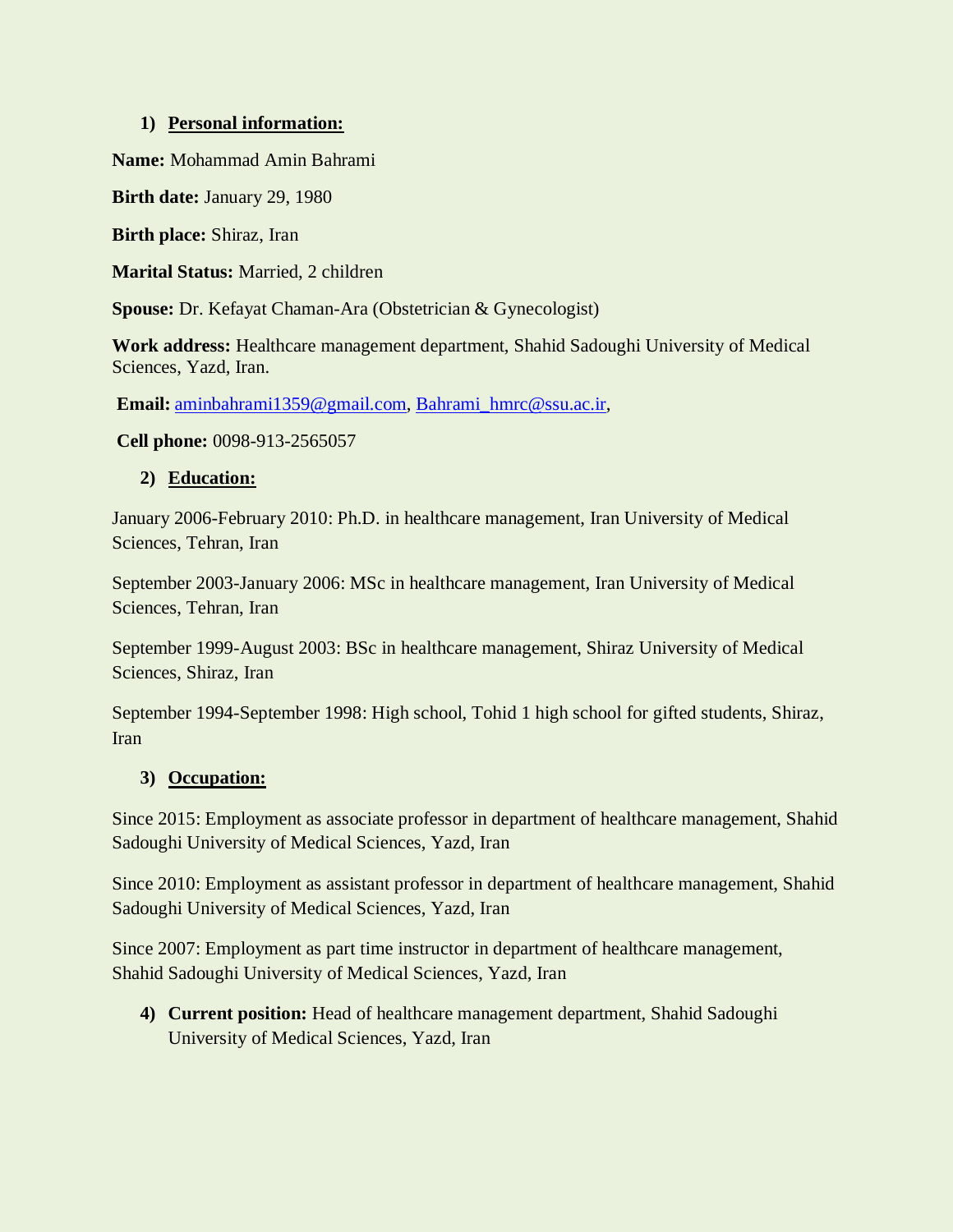#### **1) Personal information:**

**Name:** Mohammad Amin Bahrami

**Birth date:** January 29, 1980

**Birth place:** Shiraz, Iran

**Marital Status:** Married, 2 children

**Spouse:** Dr. Kefayat Chaman-Ara (Obstetrician & Gynecologist)

**Work address:** Healthcare management department, Shahid Sadoughi University of Medical Sciences, Yazd, Iran.

**Email:** [aminbahrami1359@gmail.com,](mailto:aminbahrami1359@gmail.com) [Bahrami\\_hmrc@ssu.ac.ir,](mailto:Bahrami_hmrc@ssu.ac.ir)

**Cell phone:** 0098-913-2565057

#### **2) Education:**

January 2006-February 2010: Ph.D. in healthcare management, Iran University of Medical Sciences, Tehran, Iran

September 2003-January 2006: MSc in healthcare management, Iran University of Medical Sciences, Tehran, Iran

September 1999-August 2003: BSc in healthcare management, Shiraz University of Medical Sciences, Shiraz, Iran

September 1994-September 1998: High school, Tohid 1 high school for gifted students, Shiraz, Iran

#### **3) Occupation:**

Since 2015: Employment as associate professor in department of healthcare management, Shahid Sadoughi University of Medical Sciences, Yazd, Iran

Since 2010: Employment as assistant professor in department of healthcare management, Shahid Sadoughi University of Medical Sciences, Yazd, Iran

Since 2007: Employment as part time instructor in department of healthcare management, Shahid Sadoughi University of Medical Sciences, Yazd, Iran

**4) Current position:** Head of healthcare management department, Shahid Sadoughi University of Medical Sciences, Yazd, Iran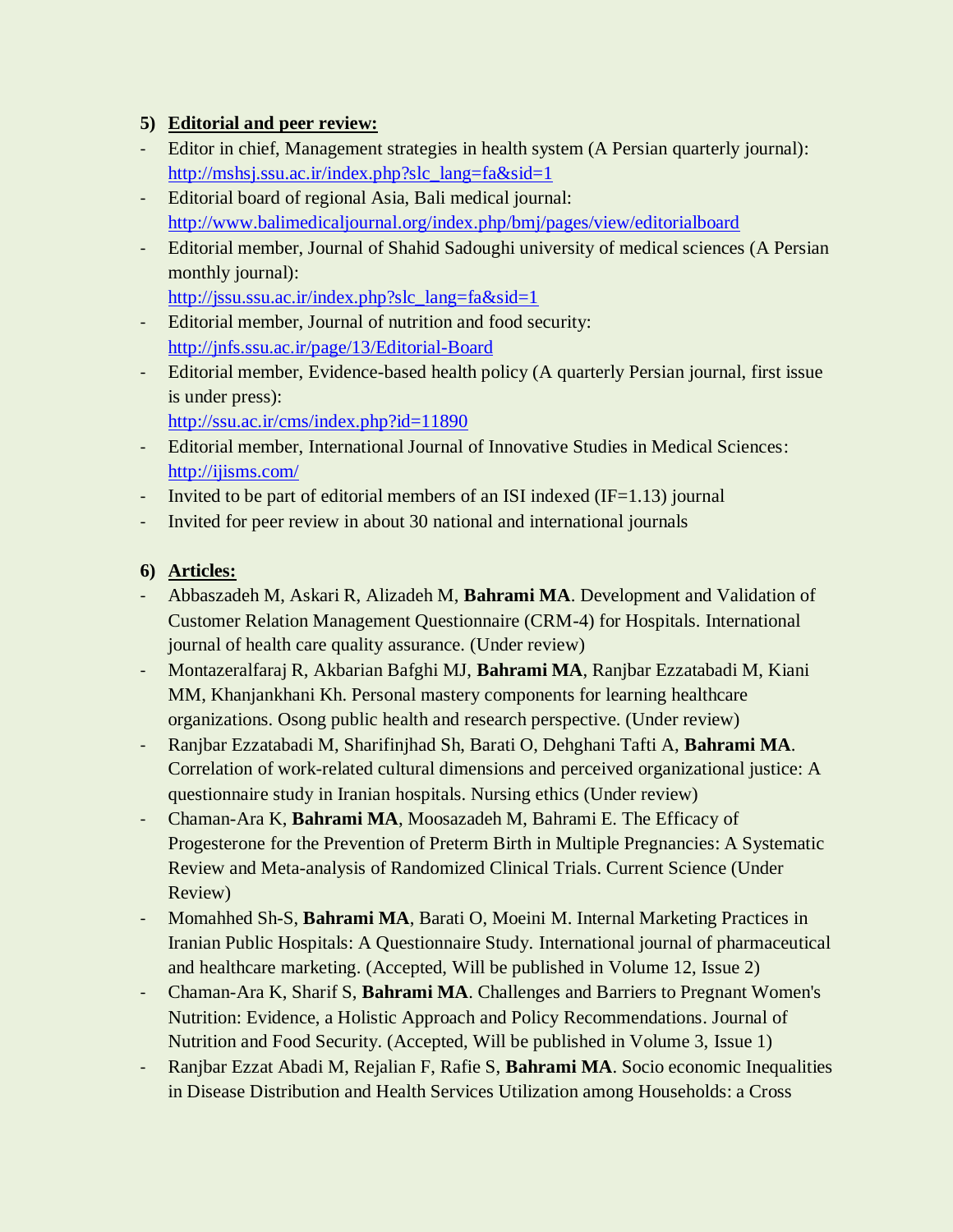# **5) Editorial and peer review:**

- Editor in chief, Management strategies in health system (A Persian quarterly journal): [http://mshsj.ssu.ac.ir/index.php?slc\\_lang=fa&sid=1](http://mshsj.ssu.ac.ir/index.php?slc_lang=fa&sid=1)
- Editorial board of regional Asia, Bali medical journal: <http://www.balimedicaljournal.org/index.php/bmj/pages/view/editorialboard>
- Editorial member, Journal of Shahid Sadoughi university of medical sciences (A Persian monthly journal):

[http://jssu.ssu.ac.ir/index.php?slc\\_lang=fa&sid=1](http://jssu.ssu.ac.ir/index.php?slc_lang=fa&sid=1)

- Editorial member, Journal of nutrition and food security: <http://jnfs.ssu.ac.ir/page/13/Editorial-Board>
- Editorial member, Evidence-based health policy (A quarterly Persian journal, first issue is under press):

<http://ssu.ac.ir/cms/index.php?id=11890>

- Editorial member, International Journal of Innovative Studies in Medical Sciences: <http://ijisms.com/>
- Invited to be part of editorial members of an ISI indexed  $(IF=1.13)$  journal
- Invited for peer review in about 30 national and international journals

# **6) Articles:**

- Abbaszadeh M, Askari R, Alizadeh M, **Bahrami MA**. Development and Validation of Customer Relation Management Questionnaire (CRM-4) for Hospitals. International journal of health care quality assurance. (Under review)
- Montazeralfaraj R, Akbarian Bafghi MJ, **Bahrami MA**, Ranjbar Ezzatabadi M, Kiani MM, Khanjankhani Kh. Personal mastery components for learning healthcare organizations. Osong public health and research perspective. (Under review)
- Ranjbar Ezzatabadi M, Sharifinjhad Sh, Barati O, Dehghani Tafti A, **Bahrami MA**. Correlation of work-related cultural dimensions and perceived organizational justice: A questionnaire study in Iranian hospitals. Nursing ethics (Under review)
- Chaman-Ara K, **Bahrami MA**, Moosazadeh M, Bahrami E. The Efficacy of Progesterone for the Prevention of Preterm Birth in Multiple Pregnancies: A Systematic Review and Meta-analysis of Randomized Clinical Trials. Current Science (Under Review)
- Momahhed Sh-S, **Bahrami MA**, Barati O, Moeini M. Internal Marketing Practices in Iranian Public Hospitals: A Questionnaire Study. International journal of pharmaceutical and healthcare marketing. (Accepted, Will be published in Volume 12, Issue 2)
- Chaman-Ara K, Sharif S, **Bahrami MA**. Challenges and Barriers to Pregnant Women's Nutrition: Evidence, a Holistic Approach and Policy Recommendations. Journal of Nutrition and Food Security. (Accepted, Will be published in Volume 3, Issue 1)
- Ranjbar Ezzat Abadi M, Rejalian F, Rafie S, **Bahrami MA**. Socio economic Inequalities in Disease Distribution and Health Services Utilization among Households: a Cross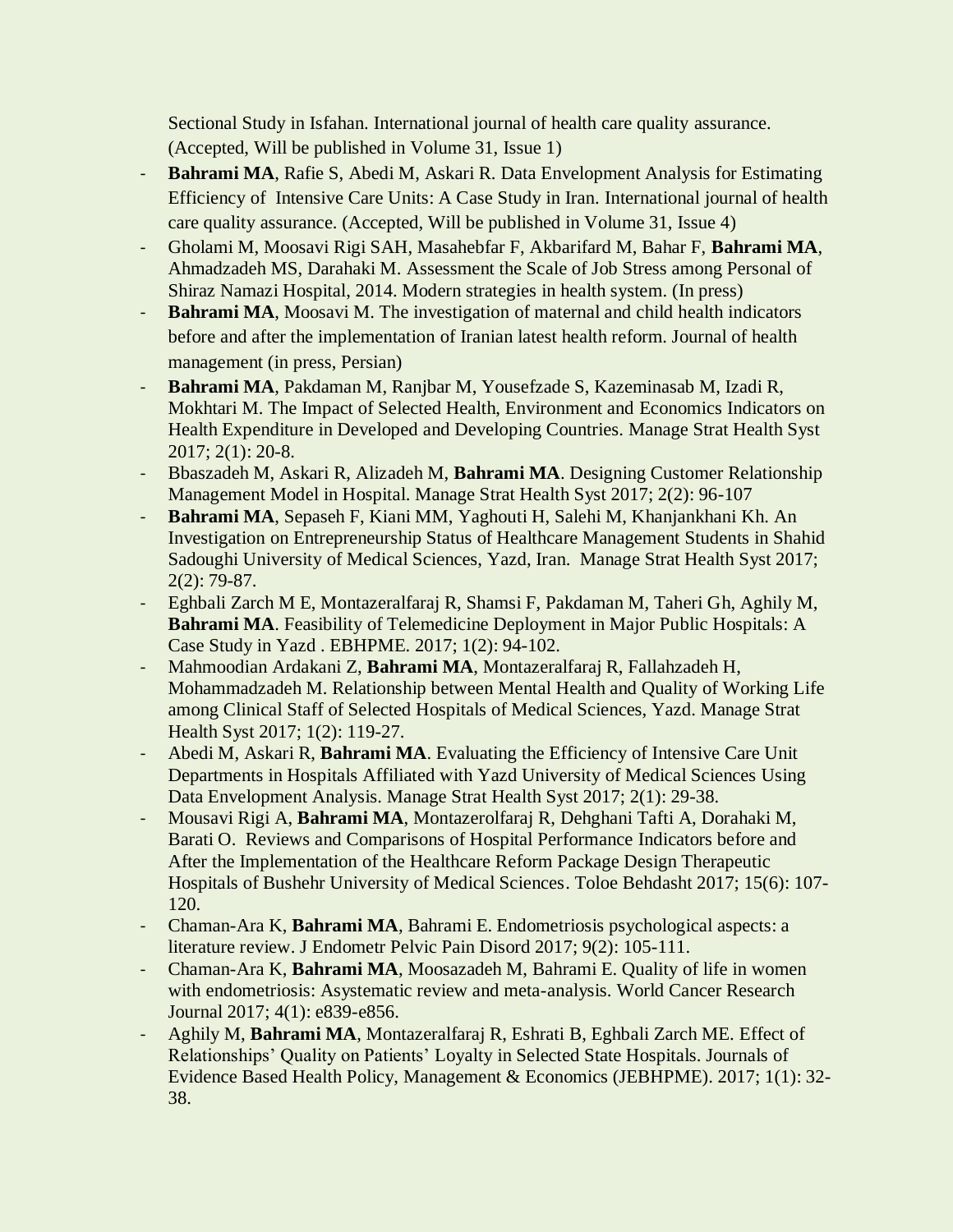Sectional Study in Isfahan. International journal of health care quality assurance. (Accepted, Will be published in Volume 31, Issue 1)

- **Bahrami MA**, Rafie S, Abedi M, Askari R. Data Envelopment Analysis for Estimating Efficiency of Intensive Care Units: A Case Study in Iran. International journal of health care quality assurance. (Accepted, Will be published in Volume 31, Issue 4)
- Gholami M, Moosavi Rigi SAH, Masahebfar F, Akbarifard M, Bahar F, **Bahrami MA**, Ahmadzadeh MS, Darahaki M. Assessment the Scale of Job Stress among Personal of Shiraz Namazi Hospital, 2014. Modern strategies in health system. (In press)
- **Bahrami MA**, Moosavi M. The investigation of maternal and child health indicators before and after the implementation of Iranian latest health reform. Journal of health management (in press, Persian)
- **Bahrami MA**, Pakdaman M, Ranjbar M, Yousefzade S, Kazeminasab M, Izadi R, Mokhtari M. The Impact of Selected Health, Environment and Economics Indicators on Health Expenditure in Developed and Developing Countries. Manage Strat Health Syst 2017; 2(1): 20-8.
- Bbaszadeh M, Askari R, Alizadeh M, **Bahrami MA**. Designing Customer Relationship Management Model in Hospital. Manage Strat Health Syst 2017; 2(2): 96-107
- **Bahrami MA**, Sepaseh F, Kiani MM, Yaghouti H, Salehi M, Khanjankhani Kh. An Investigation on Entrepreneurship Status of Healthcare Management Students in Shahid Sadoughi University of Medical Sciences, Yazd, Iran. Manage Strat Health Syst 2017; 2(2): 79-87.
- Eghbali Zarch M E, Montazeralfaraj R, Shamsi F, Pakdaman M, Taheri Gh, Aghily M, **Bahrami MA**. Feasibility of Telemedicine Deployment in Major Public Hospitals: A Case Study in Yazd . EBHPME. 2017; 1(2): 94-102.
- Mahmoodian Ardakani Z, **Bahrami MA**, Montazeralfaraj R, Fallahzadeh H, Mohammadzadeh M. Relationship between Mental Health and Quality of Working Life among Clinical Staff of Selected Hospitals of Medical Sciences, Yazd. Manage Strat Health Syst 2017; 1(2): 119-27.
- Abedi M, Askari R, **Bahrami MA**. Evaluating the Efficiency of Intensive Care Unit Departments in Hospitals Affiliated with Yazd University of Medical Sciences Using Data Envelopment Analysis. Manage Strat Health Syst 2017; 2(1): 29-38.
- Mousavi Rigi A, **Bahrami MA**, Montazerolfaraj R, Dehghani Tafti A, Dorahaki M, Barati O. Reviews and Comparisons of Hospital Performance Indicators before and After the Implementation of the Healthcare Reform Package Design Therapeutic Hospitals of Bushehr University of Medical Sciences. Toloe Behdasht 2017; 15(6): 107- 120.
- Chaman-Ara K, **Bahrami MA**, Bahrami E. Endometriosis psychological aspects: a literature review. J Endometr Pelvic Pain Disord 2017; 9(2): 105-111.
- Chaman-Ara K, **Bahrami MA**, Moosazadeh M, Bahrami E. Quality of life in women with endometriosis: Asystematic review and meta-analysis. World Cancer Research Journal 2017; 4(1): e839-e856.
- Aghily M, **Bahrami MA**, Montazeralfaraj R, Eshrati B, Eghbali Zarch ME. Effect of Relationships' Quality on Patients' Loyalty in Selected State Hospitals. Journals of Evidence Based Health Policy, Management & Economics (JEBHPME). 2017; 1(1): 32- 38.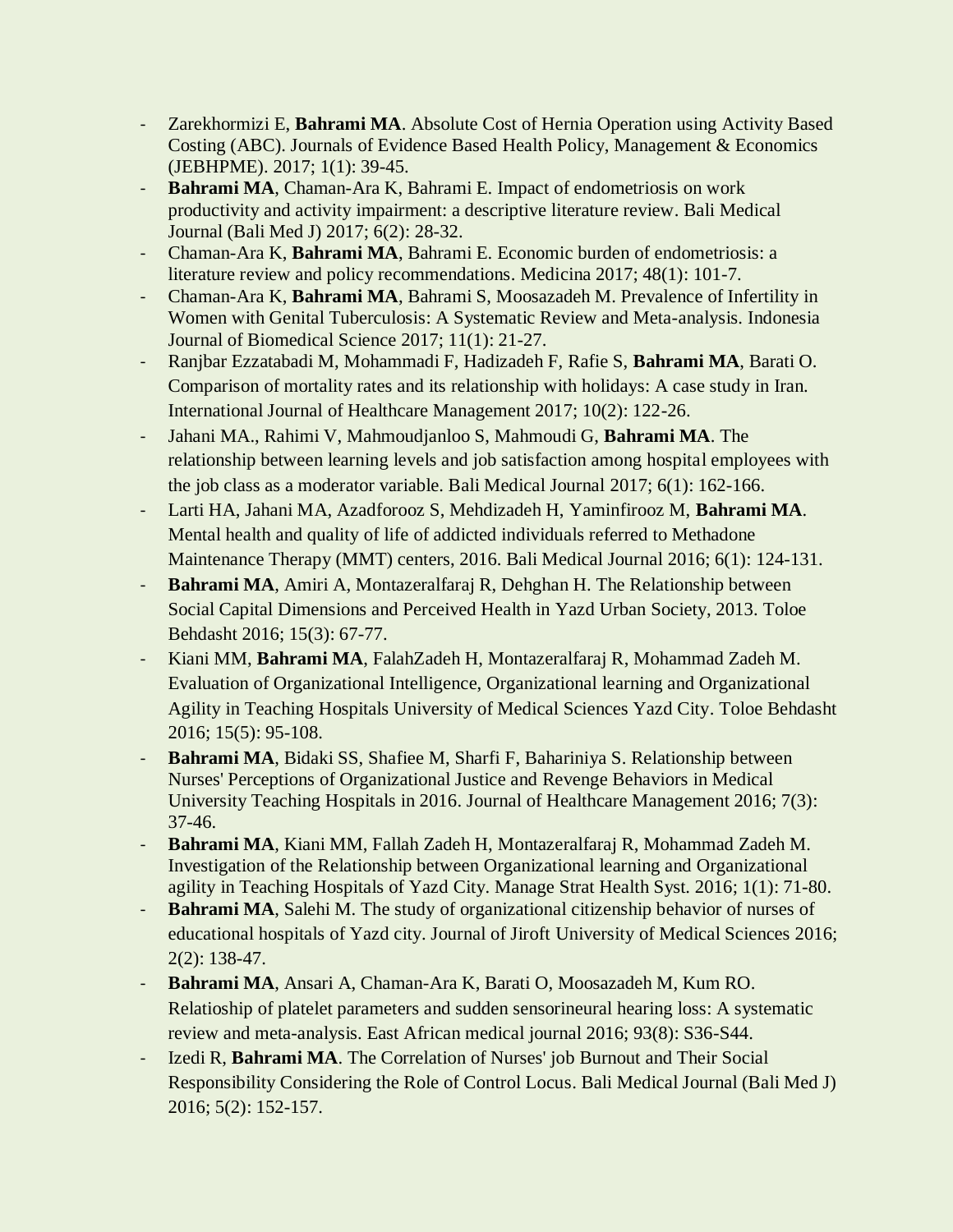- Zarekhormizi E, **Bahrami MA**. Absolute Cost of Hernia Operation using Activity Based Costing (ABC). Journals of Evidence Based Health Policy, Management & Economics (JEBHPME). 2017; 1(1): 39-45.
- **Bahrami MA**, Chaman-Ara K, Bahrami E. Impact of endometriosis on work productivity and activity impairment: a descriptive literature review. Bali Medical Journal (Bali Med J) 2017; 6(2): 28-32.
- Chaman-Ara K, **Bahrami MA**, Bahrami E. Economic burden of endometriosis: a literature review and policy recommendations. Medicina 2017; 48(1): 101-7.
- Chaman-Ara K, **Bahrami MA**, Bahrami S, Moosazadeh M. Prevalence of Infertility in Women with Genital Tuberculosis: A Systematic Review and Meta-analysis. Indonesia Journal of Biomedical Science 2017; 11(1): 21-27.
- Ranjbar Ezzatabadi M, Mohammadi F, Hadizadeh F, Rafie S, **Bahrami MA**, Barati O. Comparison of mortality rates and its relationship with holidays: A case study in Iran. International Journal of Healthcare Management 2017; 10(2): 122-26.
- Jahani MA., Rahimi V, Mahmoudjanloo S, Mahmoudi G, **Bahrami MA**. The relationship between learning levels and job satisfaction among hospital employees with the job class as a moderator variable. Bali Medical Journal 2017; 6(1): 162-166.
- Larti HA, Jahani MA, Azadforooz S, Mehdizadeh H, Yaminfirooz M, **Bahrami MA**. Mental health and quality of life of addicted individuals referred to Methadone Maintenance Therapy (MMT) centers, 2016. Bali Medical Journal 2016; 6(1): 124-131.
- **Bahrami MA**, Amiri A, Montazeralfaraj R, Dehghan H. The Relationship between Social Capital Dimensions and Perceived Health in Yazd Urban Society, 2013. Toloe Behdasht 2016; 15(3): 67-77.
- Kiani MM, **Bahrami MA**, FalahZadeh H, Montazeralfaraj R, Mohammad Zadeh M. Evaluation of Organizational Intelligence, Organizational learning and Organizational Agility in Teaching Hospitals University of Medical Sciences Yazd City. Toloe Behdasht 2016; 15(5): 95-108.
- **Bahrami MA**, Bidaki SS, Shafiee M, Sharfi F, Bahariniya S. Relationship between Nurses' Perceptions of Organizational Justice and Revenge Behaviors in Medical University Teaching Hospitals in 2016. Journal of Healthcare Management 2016; 7(3): 37-46.
- **Bahrami MA**, Kiani MM, Fallah Zadeh H, Montazeralfaraj R, Mohammad Zadeh M. Investigation of the Relationship between Organizational learning and Organizational agility in Teaching Hospitals of Yazd City. Manage Strat Health Syst. 2016; 1(1): 71-80.
- **Bahrami MA**, Salehi M. The study of organizational citizenship behavior of nurses of educational hospitals of Yazd city. Journal of Jiroft University of Medical Sciences 2016; 2(2): 138-47.
- **Bahrami MA**, Ansari A, Chaman-Ara K, Barati O, Moosazadeh M, Kum RO. Relatioship of platelet parameters and sudden sensorineural hearing loss: A systematic review and meta-analysis. East African medical journal 2016; 93(8): S36-S44.
- Izedi R, **Bahrami MA**. The Correlation of Nurses' job Burnout and Their Social Responsibility Considering the Role of Control Locus. Bali Medical Journal (Bali Med J) 2016; 5(2): 152-157.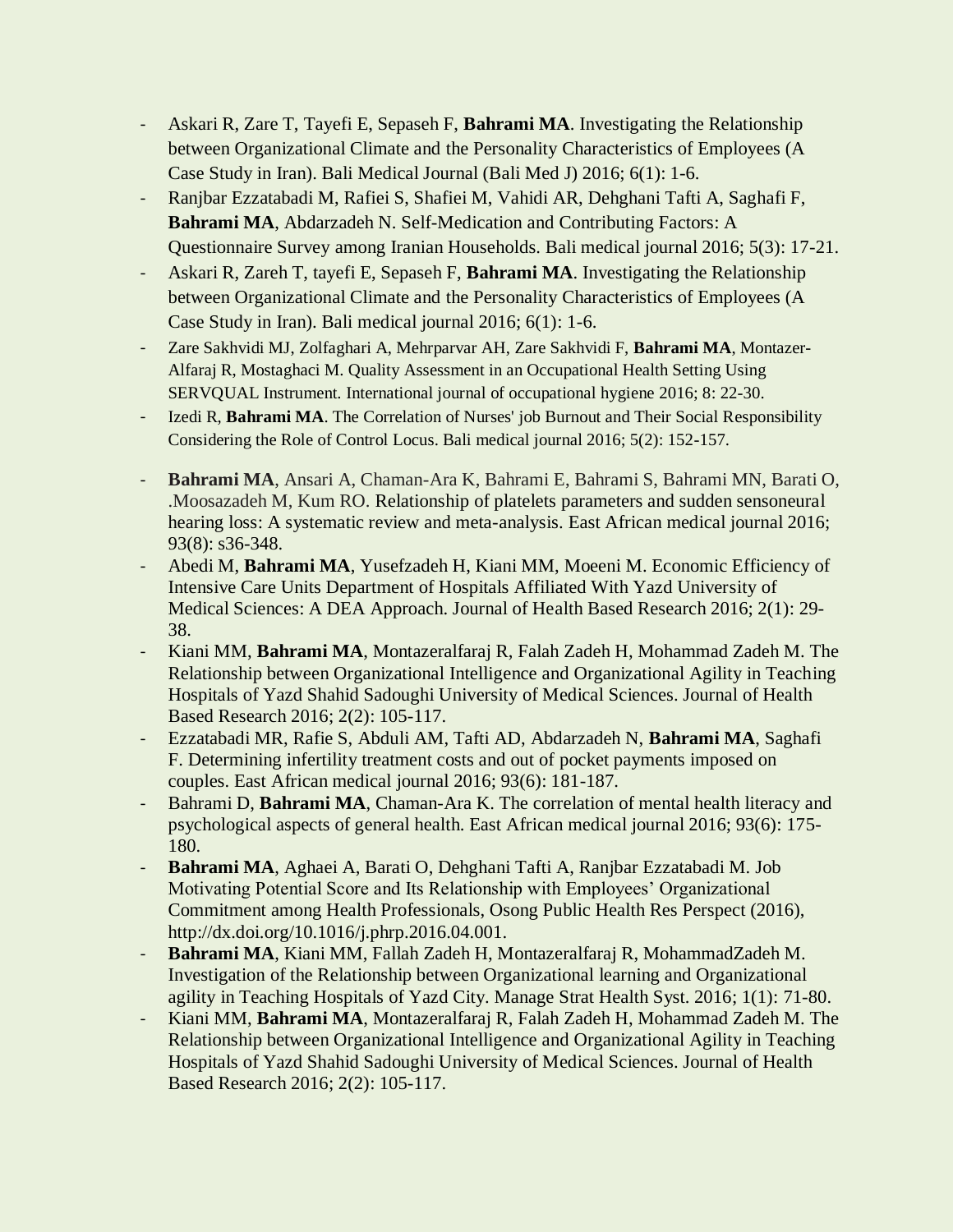- Askari R, Zare T, Tayefi E, Sepaseh F, **Bahrami MA**. Investigating the Relationship between Organizational Climate and the Personality Characteristics of Employees (A Case Study in Iran). Bali Medical Journal (Bali Med J) 2016; 6(1): 1-6.
- Ranjbar Ezzatabadi M, Rafiei S, Shafiei M, Vahidi AR, Dehghani Tafti A, Saghafi F, **Bahrami MA**, Abdarzadeh N. Self-Medication and Contributing Factors: A Questionnaire Survey among Iranian Households. Bali medical journal 2016; 5(3): 17-21.
- Askari R, Zareh T, tayefi E, Sepaseh F, **Bahrami MA**. Investigating the Relationship between Organizational Climate and the Personality Characteristics of Employees (A Case Study in Iran). Bali medical journal 2016; 6(1): 1-6.
- Zare Sakhvidi MJ, Zolfaghari A, Mehrparvar AH, Zare Sakhvidi F, **Bahrami MA**, Montazer-Alfaraj R, Mostaghaci M. Quality Assessment in an Occupational Health Setting Using SERVQUAL Instrument. International journal of occupational hygiene 2016; 8: 22-30.
- Izedi R, **Bahrami MA**. The Correlation of Nurses' job Burnout and Their Social Responsibility Considering the Role of Control Locus. Bali medical journal 2016; 5(2): 152-157.
- **Bahrami MA**, Ansari A, Chaman-Ara K, Bahrami E, Bahrami S, Bahrami MN, Barati O, .Moosazadeh M, Kum RO. Relationship of platelets parameters and sudden sensoneural hearing loss: A systematic review and meta-analysis. East African medical journal 2016; 93(8): s36-348.
- Abedi M, **Bahrami MA**, Yusefzadeh H, Kiani MM, Moeeni M. Economic Efficiency of Intensive Care Units Department of Hospitals Affiliated With Yazd University of Medical Sciences: A DEA Approach. Journal of Health Based Research 2016; 2(1): 29- 38.
- Kiani MM, **Bahrami MA**, Montazeralfaraj R, Falah Zadeh H, Mohammad Zadeh M. The Relationship between Organizational Intelligence and Organizational Agility in Teaching Hospitals of Yazd Shahid Sadoughi University of Medical Sciences. Journal of Health Based Research 2016; 2(2): 105-117.
- Ezzatabadi MR, Rafie S, Abduli AM, Tafti AD, Abdarzadeh N, **Bahrami MA**, Saghafi F. Determining infertility treatment costs and out of pocket payments imposed on couples. East African medical journal 2016; 93(6): 181-187.
- Bahrami D, **Bahrami MA**, Chaman-Ara K. The correlation of mental health literacy and psychological aspects of general health. East African medical journal 2016; 93(6): 175- 180.
- **Bahrami MA**, Aghaei A, Barati O, Dehghani Tafti A, Ranjbar Ezzatabadi M. Job Motivating Potential Score and Its Relationship with Employees' Organizational Commitment among Health Professionals, Osong Public Health Res Perspect (2016), [http://dx.doi.org/10.1016/j.phrp.2016.04.001.](http://dx.doi.org/10.1016/j.phrp.2016.04.001)
- **Bahrami MA**, Kiani MM, Fallah Zadeh H, Montazeralfaraj R, MohammadZadeh M. Investigation of the Relationship between Organizational learning and Organizational agility in Teaching Hospitals of Yazd City. Manage Strat Health Syst. 2016; 1(1): 71-80.
- Kiani MM, **Bahrami MA**, Montazeralfaraj R, Falah Zadeh H, Mohammad Zadeh M. The Relationship between Organizational Intelligence and Organizational Agility in Teaching Hospitals of Yazd Shahid Sadoughi University of Medical Sciences. Journal of Health Based Research 2016; 2(2): 105-117.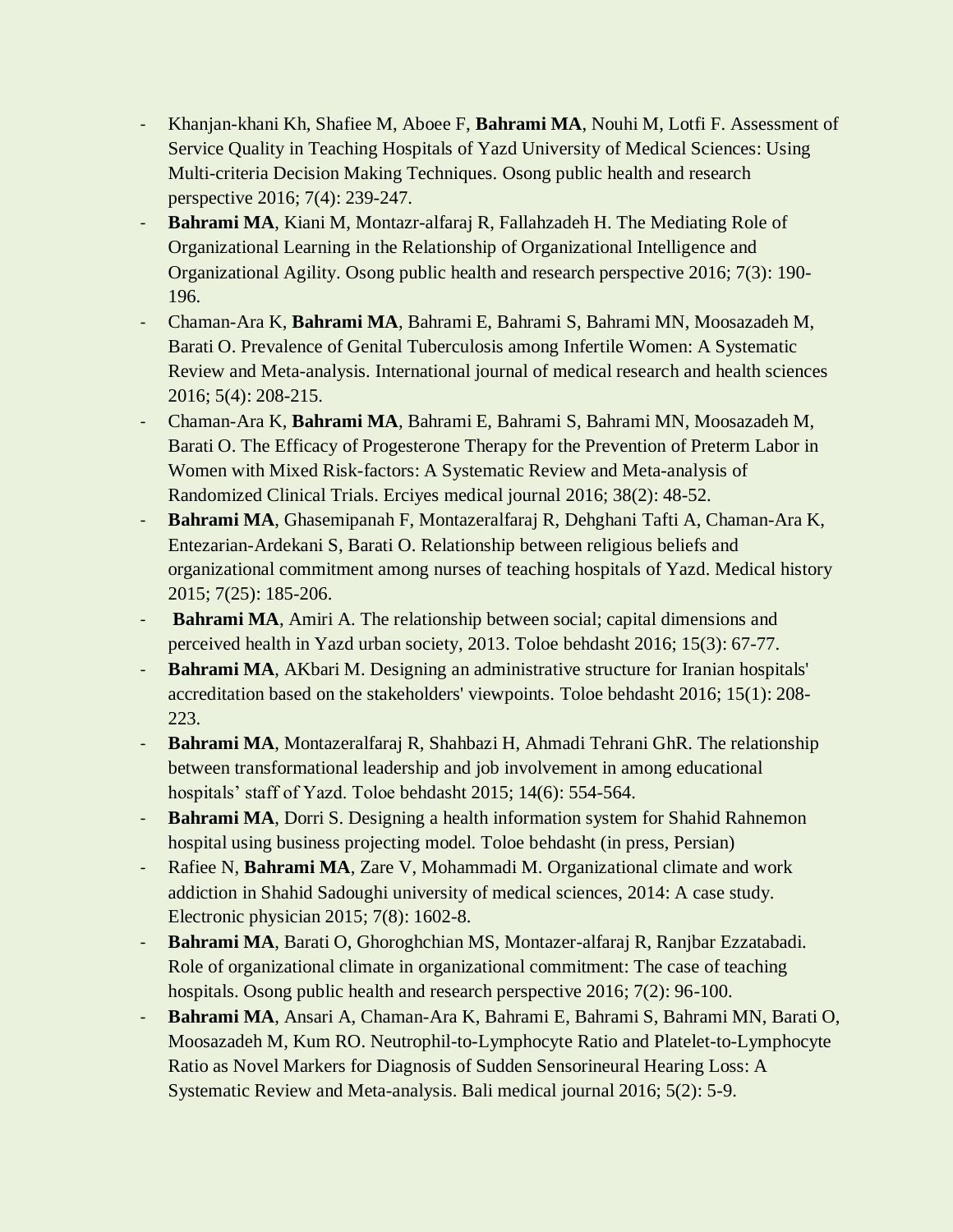- Khanjan-khani Kh, Shafiee M, Aboee F, **Bahrami MA**, Nouhi M, Lotfi F. Assessment of Service Quality in Teaching Hospitals of Yazd University of Medical Sciences: Using Multi-criteria Decision Making Techniques. Osong public health and research perspective 2016; 7(4): 239-247.
- **Bahrami MA**, Kiani M, Montazr-alfaraj R, Fallahzadeh H. The Mediating Role of Organizational Learning in the Relationship of Organizational Intelligence and Organizational Agility. Osong public health and research perspective 2016; 7(3): 190- 196.
- Chaman-Ara K, **Bahrami MA**, Bahrami E, Bahrami S, Bahrami MN, Moosazadeh M, Barati O. Prevalence of Genital Tuberculosis among Infertile Women: A Systematic Review and Meta-analysis. International journal of medical research and health sciences 2016; 5(4): 208-215.
- Chaman-Ara K, **Bahrami MA**, Bahrami E, Bahrami S, Bahrami MN, Moosazadeh M, Barati O. The Efficacy of Progesterone Therapy for the Prevention of Preterm Labor in Women with Mixed Risk-factors: A Systematic Review and Meta-analysis of Randomized Clinical Trials. Erciyes medical journal 2016; 38(2): 48-52.
- **Bahrami MA**, Ghasemipanah F, Montazeralfaraj R, Dehghani Tafti A, Chaman-Ara K, Entezarian-Ardekani S, Barati O. Relationship between religious beliefs and organizational commitment among nurses of teaching hospitals of Yazd. Medical history 2015; 7(25): 185-206.
- **Bahrami MA**, Amiri A. The relationship between social; capital dimensions and perceived health in Yazd urban society, 2013. Toloe behdasht 2016; 15(3): 67-77.
- **Bahrami MA**, AKbari M. Designing an administrative structure for Iranian hospitals' accreditation based on the stakeholders' viewpoints. Toloe behdasht 2016; 15(1): 208- 223.
- **Bahrami MA**, Montazeralfaraj R, Shahbazi H, Ahmadi Tehrani GhR. The relationship between transformational leadership and job involvement in among educational hospitals' staff of Yazd. Toloe behdasht 2015; 14(6): 554-564.
- **Bahrami MA**, Dorri S. Designing a health information system for Shahid Rahnemon hospital using business projecting model. Toloe behdasht (in press, Persian)
- Rafiee N, **Bahrami MA**, Zare V, Mohammadi M. Organizational climate and work addiction in Shahid Sadoughi university of medical sciences, 2014: A case study. Electronic physician 2015; 7(8): 1602-8.
- **Bahrami MA**, Barati O, Ghoroghchian MS, Montazer-alfaraj R, Ranjbar Ezzatabadi. Role of organizational climate in organizational commitment: The case of teaching hospitals. Osong public health and research perspective 2016; 7(2): 96-100.
- **Bahrami MA**, Ansari A, Chaman-Ara K, Bahrami E, Bahrami S, Bahrami MN, Barati O, Moosazadeh M, Kum RO. Neutrophil-to-Lymphocyte Ratio and Platelet-to-Lymphocyte Ratio as Novel Markers for Diagnosis of Sudden Sensorineural Hearing Loss: A Systematic Review and Meta-analysis. Bali medical journal 2016; 5(2): 5-9.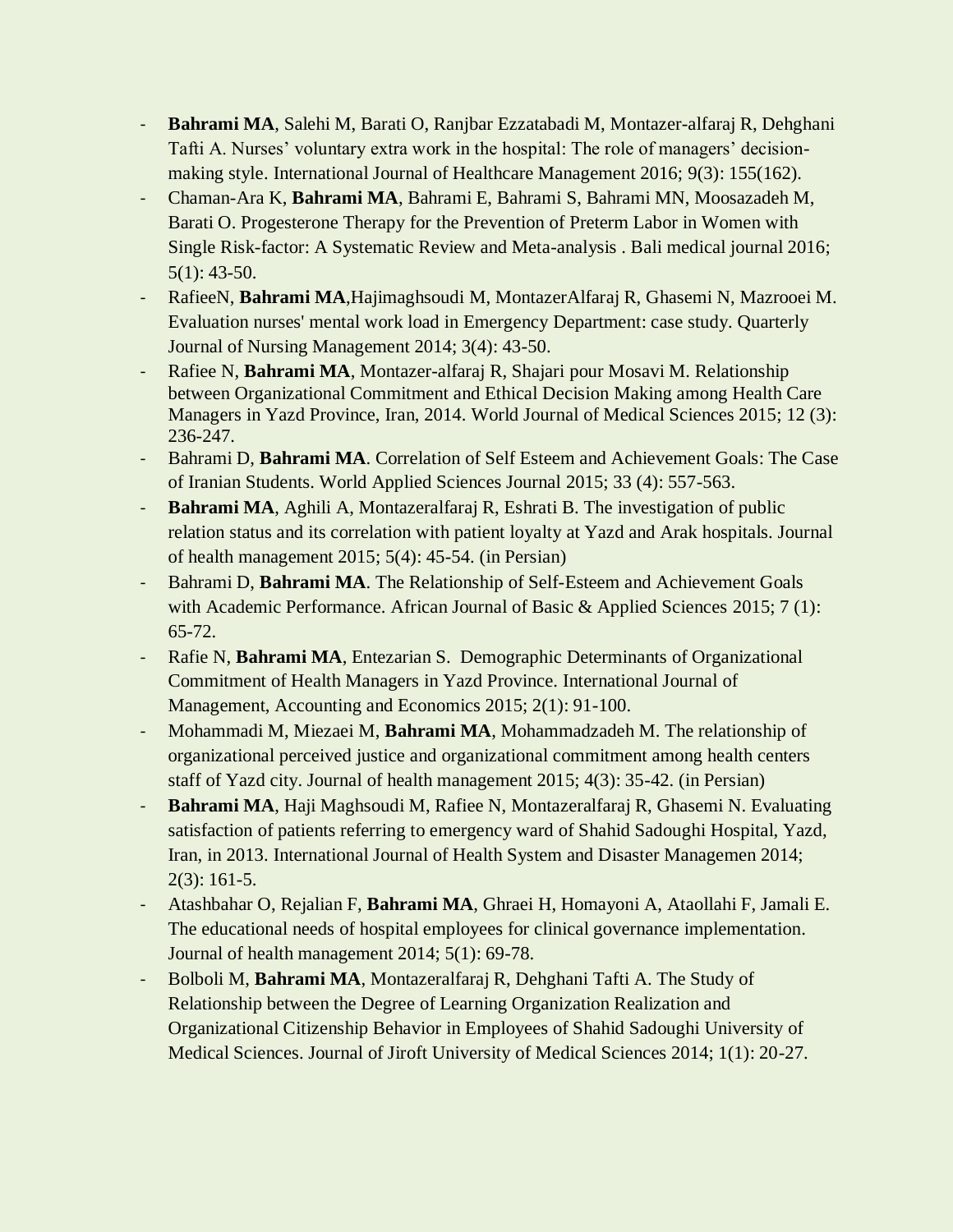- **Bahrami MA**, Salehi M, Barati O, Ranjbar Ezzatabadi M, Montazer-alfaraj R, Dehghani Tafti A. Nurses' voluntary extra work in the hospital: The role of managers' decisionmaking style. International Journal of Healthcare Management 2016; 9(3): 155(162).
- Chaman-Ara K, **Bahrami MA**, Bahrami E, Bahrami S, Bahrami MN, Moosazadeh M, Barati O. Progesterone Therapy for the Prevention of Preterm Labor in Women with Single Risk-factor: A Systematic Review and Meta-analysis . Bali medical journal 2016; 5(1): 43-50.
- RafieeN, **Bahrami MA**,Hajimaghsoudi M, MontazerAlfaraj R, Ghasemi N, Mazrooei M. Evaluation nurses' mental work load in Emergency Department: case study. Quarterly Journal of Nursing Management 2014; 3(4): 43-50.
- Rafiee N, **Bahrami MA**, Montazer-alfaraj R, Shajari pour Mosavi M. Relationship between Organizational Commitment and Ethical Decision Making among Health Care Managers in Yazd Province, Iran, 2014. World Journal of Medical Sciences 2015; 12 (3): 236-247.
- Bahrami D, **Bahrami MA**. Correlation of Self Esteem and Achievement Goals: The Case of Iranian Students. World Applied Sciences Journal 2015; 33 (4): 557-563.
- **Bahrami MA**, Aghili A, Montazeralfaraj R, Eshrati B. The investigation of public relation status and its correlation with patient loyalty at Yazd and Arak hospitals. Journal of health management 2015; 5(4): 45-54. (in Persian)
- Bahrami D, **Bahrami MA**. The Relationship of Self-Esteem and Achievement Goals with Academic Performance. African Journal of Basic & Applied Sciences 2015; 7 (1): 65-72.
- Rafie N, Bahrami MA, Entezarian S. Demographic Determinants of Organizational Commitment of Health Managers in Yazd Province. International Journal of Management, Accounting and Economics 2015; 2(1): 91-100.
- Mohammadi M, Miezaei M, **Bahrami MA**, Mohammadzadeh M. The relationship of organizational perceived justice and organizational commitment among health centers staff of Yazd city. Journal of health management 2015; 4(3): 35-42. (in Persian)
- **Bahrami MA**, Haji Maghsoudi M, Rafiee N, Montazeralfaraj R, Ghasemi N. Evaluating satisfaction of patients referring to emergency ward of Shahid Sadoughi Hospital, Yazd, Iran, in 2013. International Journal of Health System and Disaster Managemen 2014; 2(3): 161-5.
- Atashbahar O, Rejalian F, **Bahrami MA**, Ghraei H, Homayoni A, Ataollahi F, Jamali E. The educational needs of hospital employees for clinical governance implementation. Journal of health management 2014; 5(1): 69-78.
- Bolboli M, **Bahrami MA**, Montazeralfaraj R, Dehghani Tafti A. The Study of Relationship between the Degree of Learning Organization Realization and Organizational Citizenship Behavior in Employees of Shahid Sadoughi University of Medical Sciences. Journal of Jiroft University of Medical Sciences 2014; 1(1): 20-27.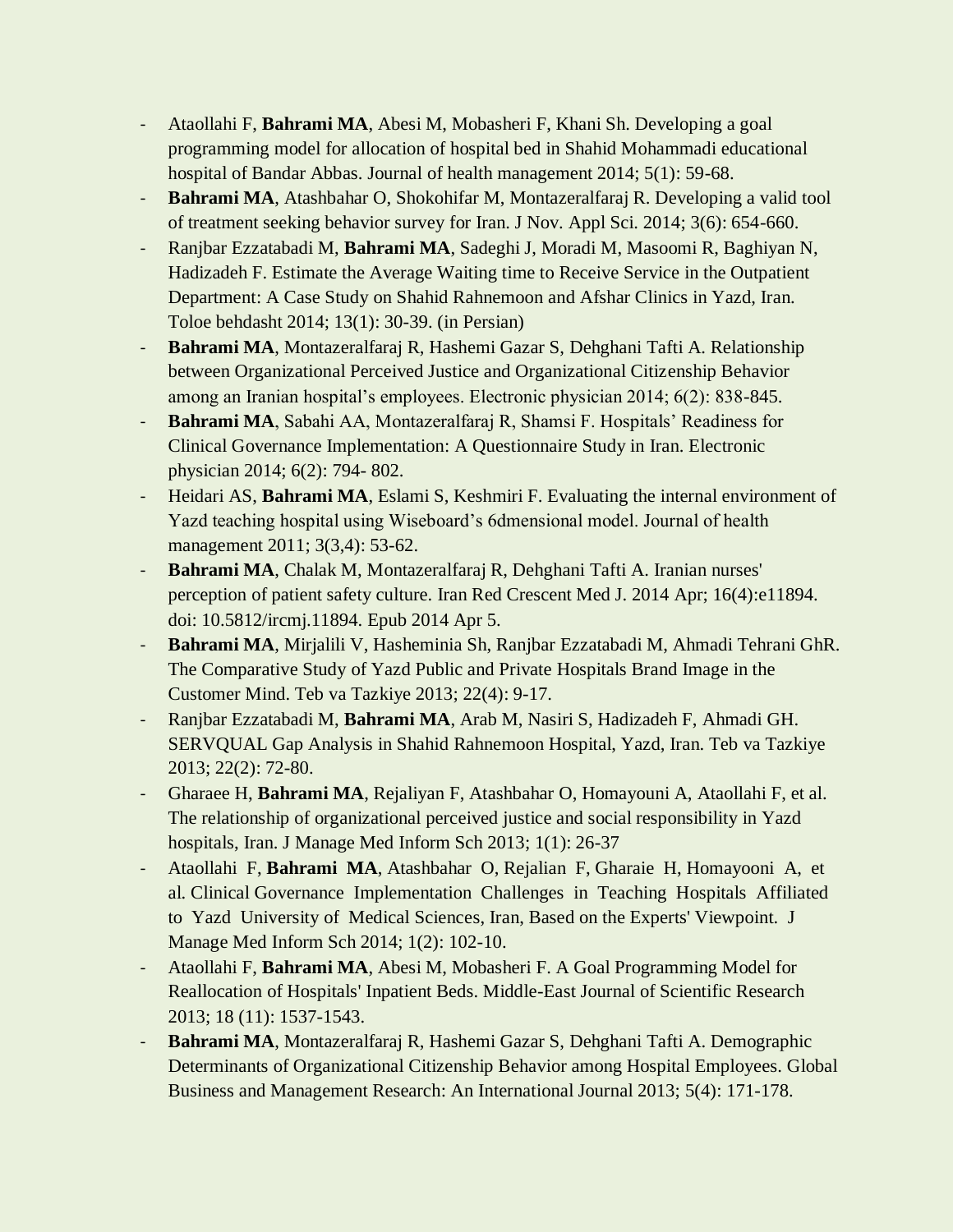- Ataollahi F, **Bahrami MA**, Abesi M, Mobasheri F, Khani Sh. Developing a goal programming model for allocation of hospital bed in Shahid Mohammadi educational hospital of Bandar Abbas. Journal of health management 2014; 5(1): 59-68.
- **Bahrami MA**, Atashbahar O, Shokohifar M, Montazeralfaraj R. Developing a valid tool of treatment seeking behavior survey for Iran. J Nov. Appl Sci. 2014; 3(6): 654-660.
- Ranjbar Ezzatabadi M, **Bahrami MA**, Sadeghi J, Moradi M, Masoomi R, Baghiyan N, Hadizadeh F. Estimate the Average Waiting time to Receive Service in the Outpatient Department: A Case Study on Shahid Rahnemoon and Afshar Clinics in Yazd, Iran. Toloe behdasht 2014; 13(1): 30-39. (in Persian)
- **Bahrami MA**, Montazeralfaraj R, Hashemi Gazar S, Dehghani Tafti A. Relationship between Organizational Perceived Justice and Organizational Citizenship Behavior among an Iranian hospital's employees. Electronic physician 2014; 6(2): 838-845.
- **Bahrami MA**, Sabahi AA, Montazeralfaraj R, Shamsi F. Hospitals' Readiness for Clinical Governance Implementation: A Questionnaire Study in Iran. Electronic physician 2014; 6(2): 794- 802.
- Heidari AS, **Bahrami MA**, Eslami S, Keshmiri F. Evaluating the internal environment of Yazd teaching hospital using Wiseboard's 6dmensional model. Journal of health management 2011; 3(3,4): 53-62.
- **Bahrami MA**, Chalak M, Montazeralfaraj R, Dehghani Tafti A. Iranian nurses' perception of patient safety culture. Iran Red Crescent Med J. 2014 Apr; 16(4):e11894. doi: 10.5812/ircmj.11894. Epub 2014 Apr 5.
- **Bahrami MA**, Mirjalili V, Hasheminia Sh, Ranjbar Ezzatabadi M, Ahmadi Tehrani GhR. The Comparative Study of Yazd Public and Private Hospitals Brand Image in the Customer Mind. Teb va Tazkiye 2013; 22(4): 9-17.
- Ranjbar Ezzatabadi M, **Bahrami MA**, Arab M, Nasiri S, Hadizadeh F, Ahmadi GH. SERVQUAL Gap Analysis in Shahid Rahnemoon Hospital, Yazd, Iran. Teb va Tazkiye 2013; 22(2): 72-80.
- Gharaee H, **Bahrami MA**, Rejaliyan F, Atashbahar O, Homayouni A, Ataollahi F, et al. The relationship of organizational perceived justice and social responsibility in Yazd hospitals, Iran. J Manage Med Inform Sch 2013; 1(1): 26-37
- Ataollahi F, **Bahrami MA**, Atashbahar O, Rejalian F, Gharaie H, Homayooni A, et al. Clinical Governance Implementation Challenges in Teaching Hospitals Affiliated to Yazd University of Medical Sciences, Iran, Based on the Experts' Viewpoint. J Manage Med Inform Sch 2014; 1(2): 102-10.
- Ataollahi F, **Bahrami MA**, Abesi M, Mobasheri F. A Goal Programming Model for Reallocation of Hospitals' Inpatient Beds. Middle-East Journal of Scientific Research 2013; 18 (11): 1537-1543.
- **Bahrami MA**, Montazeralfaraj R, Hashemi Gazar S, Dehghani Tafti A. Demographic Determinants of Organizational Citizenship Behavior among Hospital Employees. Global Business and Management Research: An International Journal 2013; 5(4): 171-178.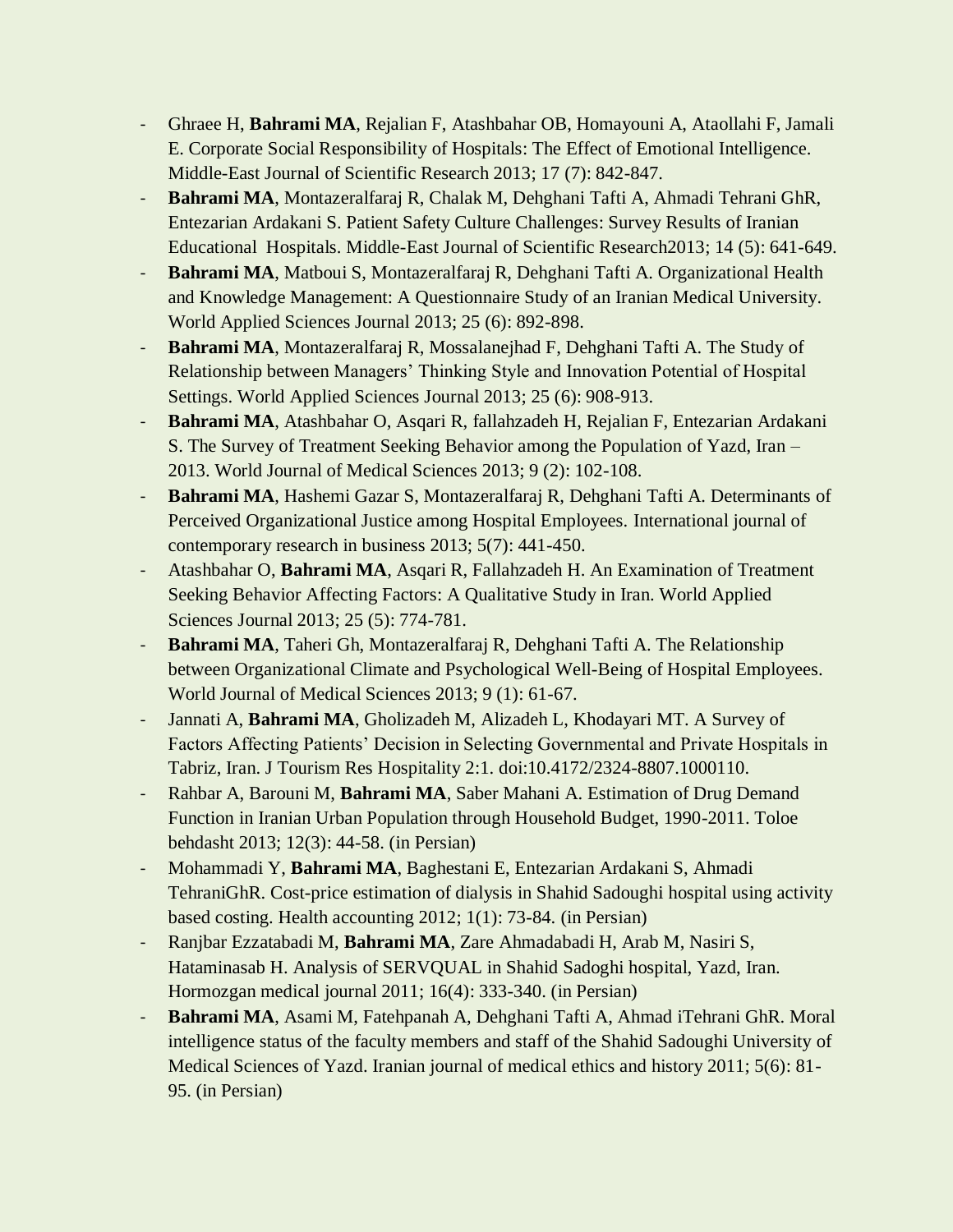- Ghraee H, **Bahrami MA**, Rejalian F, Atashbahar OB, Homayouni A, Ataollahi F, Jamali E. Corporate Social Responsibility of Hospitals: The Effect of Emotional Intelligence. Middle-East Journal of Scientific Research 2013; 17 (7): 842-847.
- **Bahrami MA**, Montazeralfaraj R, Chalak M, Dehghani Tafti A, Ahmadi Tehrani GhR, Entezarian Ardakani S. Patient Safety Culture Challenges: Survey Results of Iranian Educational Hospitals. Middle-East Journal of Scientific Research2013; 14 (5): 641-649.
- **Bahrami MA**, Matboui S, Montazeralfaraj R, Dehghani Tafti A. Organizational Health and Knowledge Management: A Questionnaire Study of an Iranian Medical University. World Applied Sciences Journal 2013; 25 (6): 892-898.
- **Bahrami MA**, Montazeralfaraj R, Mossalanejhad F, Dehghani Tafti A. The Study of Relationship between Managers' Thinking Style and Innovation Potential of Hospital Settings. World Applied Sciences Journal 2013; 25 (6): 908-913.
- **Bahrami MA**, Atashbahar O, Asqari R, fallahzadeh H, Rejalian F, Entezarian Ardakani S. The Survey of Treatment Seeking Behavior among the Population of Yazd, Iran – 2013. World Journal of Medical Sciences 2013; 9 (2): 102-108.
- **Bahrami MA**, Hashemi Gazar S, Montazeralfaraj R, Dehghani Tafti A. Determinants of Perceived Organizational Justice among Hospital Employees. International journal of contemporary research in business 2013; 5(7): 441-450.
- Atashbahar O, **Bahrami MA**, Asqari R, Fallahzadeh H. An Examination of Treatment Seeking Behavior Affecting Factors: A Qualitative Study in Iran. World Applied Sciences Journal 2013; 25 (5): 774-781.
- **Bahrami MA**, Taheri Gh, Montazeralfaraj R, Dehghani Tafti A. The Relationship between Organizational Climate and Psychological Well-Being of Hospital Employees. World Journal of Medical Sciences 2013; 9 (1): 61-67.
- Jannati A, **Bahrami MA**, Gholizadeh M, Alizadeh L, Khodayari MT. A Survey of Factors Affecting Patients' Decision in Selecting Governmental and Private Hospitals in Tabriz, Iran. J Tourism Res Hospitality 2:1. doi:10.4172/2324-8807.1000110.
- Rahbar A, Barouni M, **Bahrami MA**, Saber Mahani A. Estimation of Drug Demand Function in Iranian Urban Population through Household Budget, 1990-2011. Toloe behdasht 2013; 12(3): 44-58. (in Persian)
- Mohammadi Y, **Bahrami MA**, Baghestani E, Entezarian Ardakani S, Ahmadi TehraniGhR. Cost-price estimation of dialysis in Shahid Sadoughi hospital using activity based costing. Health accounting 2012; 1(1): 73-84. (in Persian)
- Ranjbar Ezzatabadi M, **Bahrami MA**, Zare Ahmadabadi H, Arab M, Nasiri S, Hataminasab H. Analysis of SERVQUAL in Shahid Sadoghi hospital, Yazd, Iran. Hormozgan medical journal 2011; 16(4): 333-340. (in Persian)
- **Bahrami MA**, Asami M, Fatehpanah A, Dehghani Tafti A, Ahmad iTehrani GhR. Moral intelligence status of the faculty members and staff of the Shahid Sadoughi University of Medical Sciences of Yazd. Iranian journal of medical ethics and history 2011; 5(6): 81- 95. (in Persian)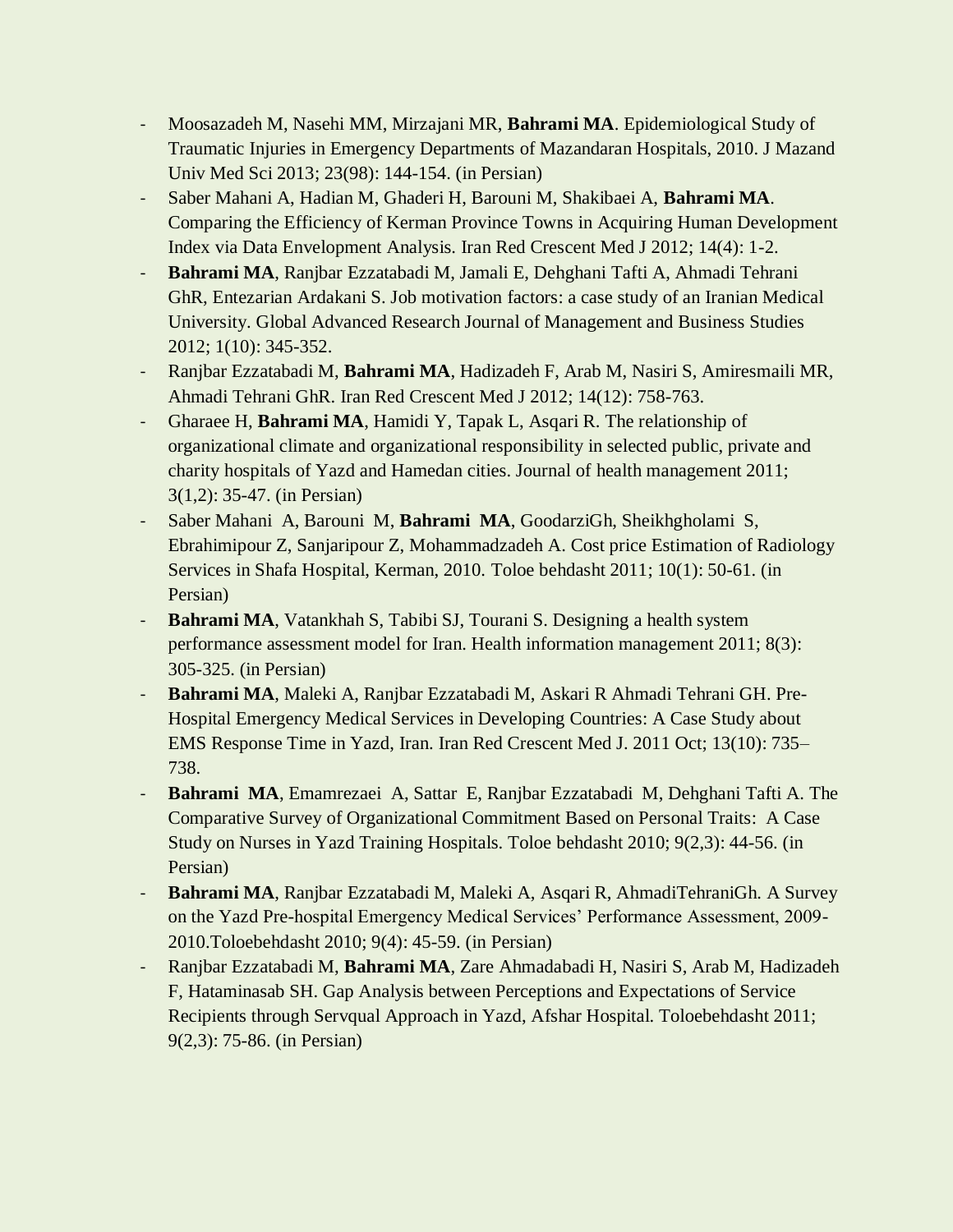- Moosazadeh M, Nasehi MM, Mirzajani MR, **Bahrami MA**. Epidemiological Study of Traumatic Injuries in Emergency Departments of Mazandaran Hospitals, 2010. J Mazand Univ Med Sci 2013; 23(98): 144-154. (in Persian)
- Saber Mahani A, Hadian M, Ghaderi H, Barouni M, Shakibaei A, **Bahrami MA**. Comparing the Efficiency of Kerman Province Towns in Acquiring Human Development Index via Data Envelopment Analysis. Iran Red Crescent Med J 2012; 14(4): 1-2.
- **Bahrami MA**, Ranjbar Ezzatabadi M, Jamali E, Dehghani Tafti A, Ahmadi Tehrani GhR, Entezarian Ardakani S. Job motivation factors: a case study of an Iranian Medical University. Global Advanced Research Journal of Management and Business Studies 2012; 1(10): 345-352.
- Ranjbar Ezzatabadi M, **Bahrami MA**, Hadizadeh F, Arab M, Nasiri S, Amiresmaili MR, Ahmadi Tehrani GhR. Iran Red Crescent Med J 2012; 14(12): 758-763.
- Gharaee H, **Bahrami MA**, Hamidi Y, Tapak L, Asqari R. The relationship of organizational climate and organizational responsibility in selected public, private and charity hospitals of Yazd and Hamedan cities. Journal of health management 2011; 3(1,2): 35-47. (in Persian)
- Saber Mahani A, Barouni M, **Bahrami MA**, GoodarziGh, Sheikhgholami S, Ebrahimipour Z, Sanjaripour Z, Mohammadzadeh A. Cost price Estimation of Radiology Services in Shafa Hospital, Kerman, 2010. Toloe behdasht 2011; 10(1): 50-61. (in Persian)
- **Bahrami MA**, Vatankhah S, Tabibi SJ, Tourani S. Designing a health system performance assessment model for Iran. Health information management 2011; 8(3): 305-325. (in Persian)
- **Bahrami MA**, Maleki A, Ranjbar Ezzatabadi M, Askari R Ahmadi Tehrani GH. Pre-Hospital Emergency Medical Services in Developing Countries: A Case Study about EMS Response Time in Yazd, Iran. Iran Red Crescent Med J. 2011 Oct; 13(10): 735– 738.
- **Bahrami MA**, Emamrezaei A, Sattar E, Ranjbar Ezzatabadi M, Dehghani Tafti A. The Comparative Survey of Organizational Commitment Based on Personal Traits: A Case Study on Nurses in Yazd Training Hospitals. Toloe behdasht 2010; 9(2,3): 44-56. (in Persian)
- **Bahrami MA**, Ranjbar Ezzatabadi M, Maleki A, Asqari R, AhmadiTehraniGh. A Survey on the Yazd Pre-hospital Emergency Medical Services' Performance Assessment, 2009- 2010.Toloebehdasht 2010; 9(4): 45-59. (in Persian)
- Ranjbar Ezzatabadi M, **Bahrami MA**, Zare Ahmadabadi H, Nasiri S, Arab M, Hadizadeh F, Hataminasab SH. Gap Analysis between Perceptions and Expectations of Service Recipients through Servqual Approach in Yazd, Afshar Hospital. Toloebehdasht 2011; 9(2,3): 75-86. (in Persian)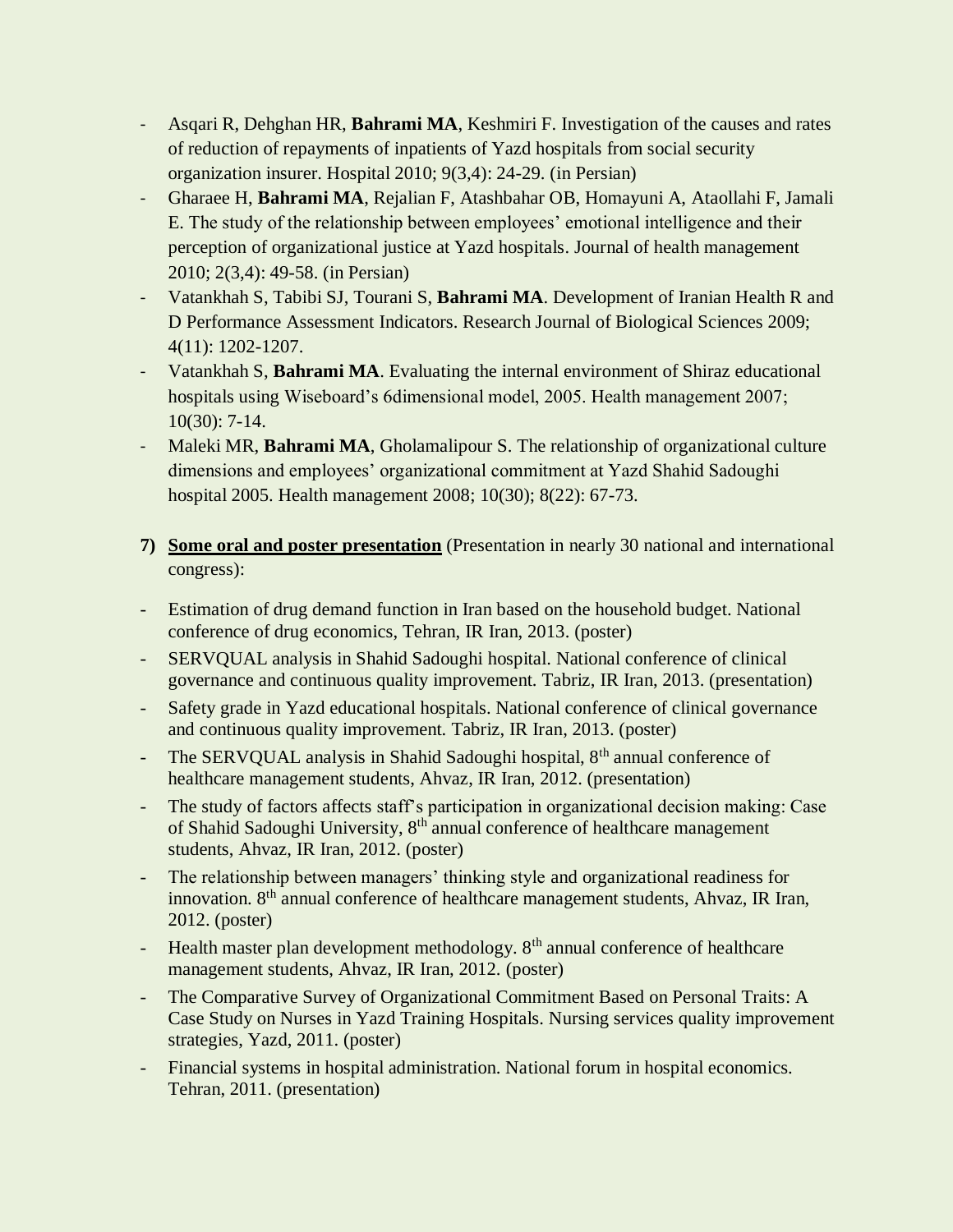- Asqari R, Dehghan HR, **Bahrami MA**, Keshmiri F. Investigation of the causes and rates of reduction of repayments of inpatients of Yazd hospitals from social security organization insurer. Hospital 2010; 9(3,4): 24-29. (in Persian)
- Gharaee H, **Bahrami MA**, Rejalian F, Atashbahar OB, Homayuni A, Ataollahi F, Jamali E. The study of the relationship between employees' emotional intelligence and their perception of organizational justice at Yazd hospitals. Journal of health management 2010; 2(3,4): 49-58. (in Persian)
- Vatankhah S, Tabibi SJ, Tourani S, **Bahrami MA**. Development of Iranian Health R and D Performance Assessment Indicators. Research Journal of Biological Sciences 2009; 4(11): 1202-1207.
- Vatankhah S, **Bahrami MA**. Evaluating the internal environment of Shiraz educational hospitals using Wiseboard's 6dimensional model, 2005. Health management 2007; 10(30): 7-14.
- Maleki MR, **Bahrami MA**, Gholamalipour S. The relationship of organizational culture dimensions and employees' organizational commitment at Yazd Shahid Sadoughi hospital 2005. Health management 2008; 10(30); 8(22): 67-73.
- **7) Some oral and poster presentation** (Presentation in nearly 30 national and international congress):
- Estimation of drug demand function in Iran based on the household budget. National conference of drug economics, Tehran, IR Iran, 2013. (poster)
- SERVQUAL analysis in Shahid Sadoughi hospital. National conference of clinical governance and continuous quality improvement. Tabriz, IR Iran, 2013. (presentation)
- Safety grade in Yazd educational hospitals. National conference of clinical governance and continuous quality improvement. Tabriz, IR Iran, 2013. (poster)
- The SERVQUAL analysis in Shahid Sadoughi hospital, 8<sup>th</sup> annual conference of healthcare management students, Ahvaz, IR Iran, 2012. (presentation)
- The study of factors affects staff's participation in organizational decision making: Case of Shahid Sadoughi University, 8<sup>th</sup> annual conference of healthcare management students, Ahvaz, IR Iran, 2012. (poster)
- The relationship between managers' thinking style and organizational readiness for innovation. 8th annual conference of healthcare management students, Ahvaz, IR Iran, 2012. (poster)
- Health master plan development methodology. 8<sup>th</sup> annual conference of healthcare management students, Ahvaz, IR Iran, 2012. (poster)
- The Comparative Survey of Organizational Commitment Based on Personal Traits: A Case Study on Nurses in Yazd Training Hospitals. Nursing services quality improvement strategies, Yazd, 2011. (poster)
- Financial systems in hospital administration. National forum in hospital economics. Tehran, 2011. (presentation)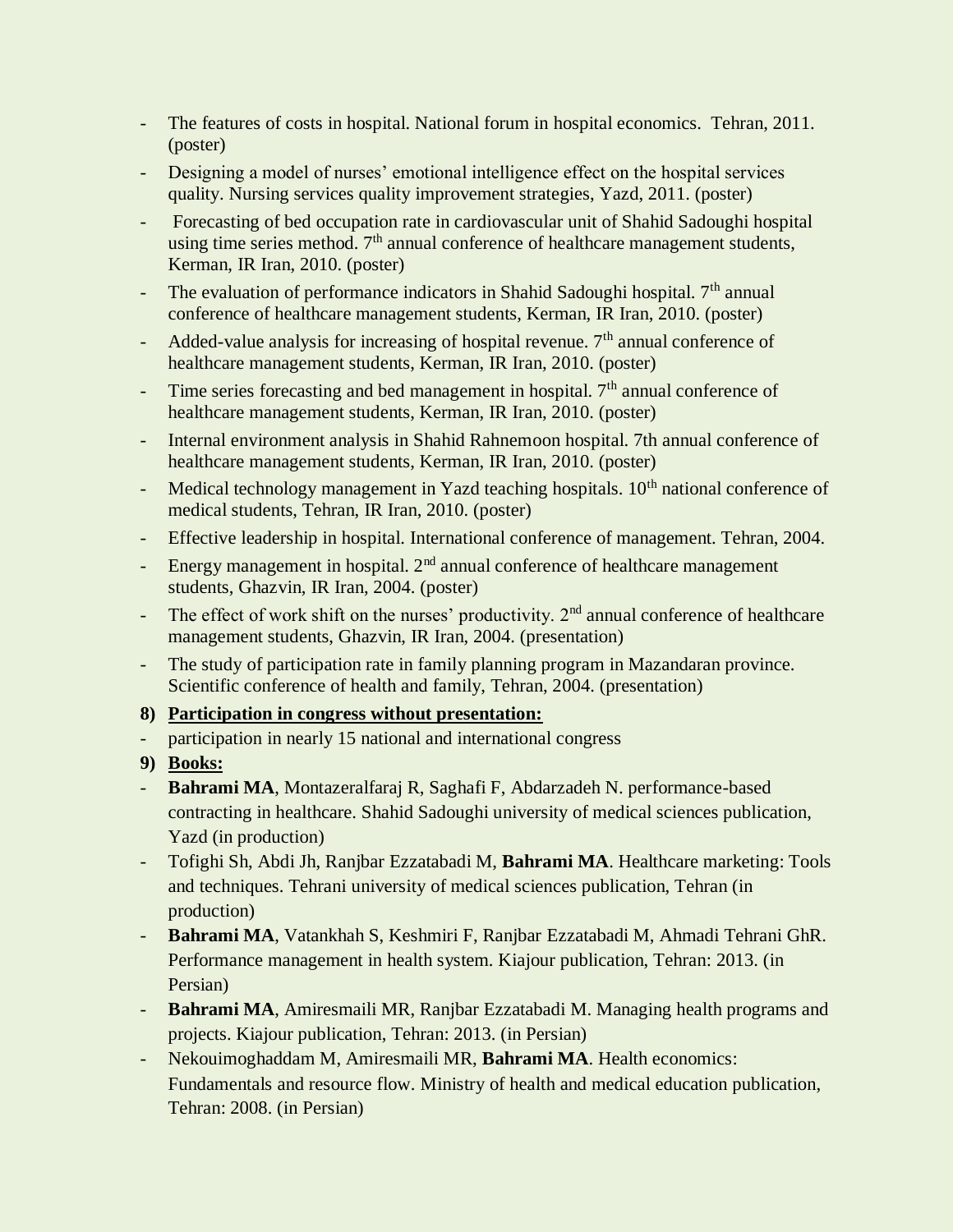- The features of costs in hospital. National forum in hospital economics. Tehran, 2011. (poster)
- Designing a model of nurses' emotional intelligence effect on the hospital services quality. Nursing services quality improvement strategies, Yazd, 2011. (poster)
- Forecasting of bed occupation rate in cardiovascular unit of Shahid Sadoughi hospital using time series method.  $7<sup>th</sup>$  annual conference of healthcare management students, Kerman, IR Iran, 2010. (poster)
- The evaluation of performance indicators in Shahid Sadoughi hospital.  $7<sup>th</sup>$  annual conference of healthcare management students, Kerman, IR Iran, 2010. (poster)
- Added-value analysis for increasing of hospital revenue.  $7<sup>th</sup>$  annual conference of healthcare management students, Kerman, IR Iran, 2010. (poster)
- Time series forecasting and bed management in hospital.  $7<sup>th</sup>$  annual conference of healthcare management students, Kerman, IR Iran, 2010. (poster)
- Internal environment analysis in Shahid Rahnemoon hospital. 7th annual conference of healthcare management students, Kerman, IR Iran, 2010. (poster)
- Medical technology management in Yazd teaching hospitals.  $10<sup>th</sup>$  national conference of medical students, Tehran, IR Iran, 2010. (poster)
- Effective leadership in hospital. International conference of management. Tehran, 2004.
- Energy management in hospital.  $2<sup>nd</sup>$  annual conference of healthcare management students, Ghazvin, IR Iran, 2004. (poster)
- The effect of work shift on the nurses' productivity.  $2<sup>nd</sup>$  annual conference of healthcare management students, Ghazvin, IR Iran, 2004. (presentation)
- The study of participation rate in family planning program in Mazandaran province. Scientific conference of health and family, Tehran, 2004. (presentation)

## **8) Participation in congress without presentation:**

- participation in nearly 15 national and international congress
- **9) Books:**
- **Bahrami MA**, Montazeralfaraj R, Saghafi F, Abdarzadeh N. performance-based contracting in healthcare. Shahid Sadoughi university of medical sciences publication, Yazd (in production)
- Tofighi Sh, Abdi Jh, Ranjbar Ezzatabadi M, **Bahrami MA**. Healthcare marketing: Tools and techniques. Tehrani university of medical sciences publication, Tehran (in production)
- **Bahrami MA**, Vatankhah S, Keshmiri F, Ranjbar Ezzatabadi M, Ahmadi Tehrani GhR. Performance management in health system. Kiajour publication, Tehran: 2013. (in Persian)
- **Bahrami MA**, Amiresmaili MR, Ranjbar Ezzatabadi M. Managing health programs and projects. Kiajour publication, Tehran: 2013. (in Persian)
- Nekouimoghaddam M, Amiresmaili MR, **Bahrami MA**. Health economics: Fundamentals and resource flow. Ministry of health and medical education publication, Tehran: 2008. (in Persian)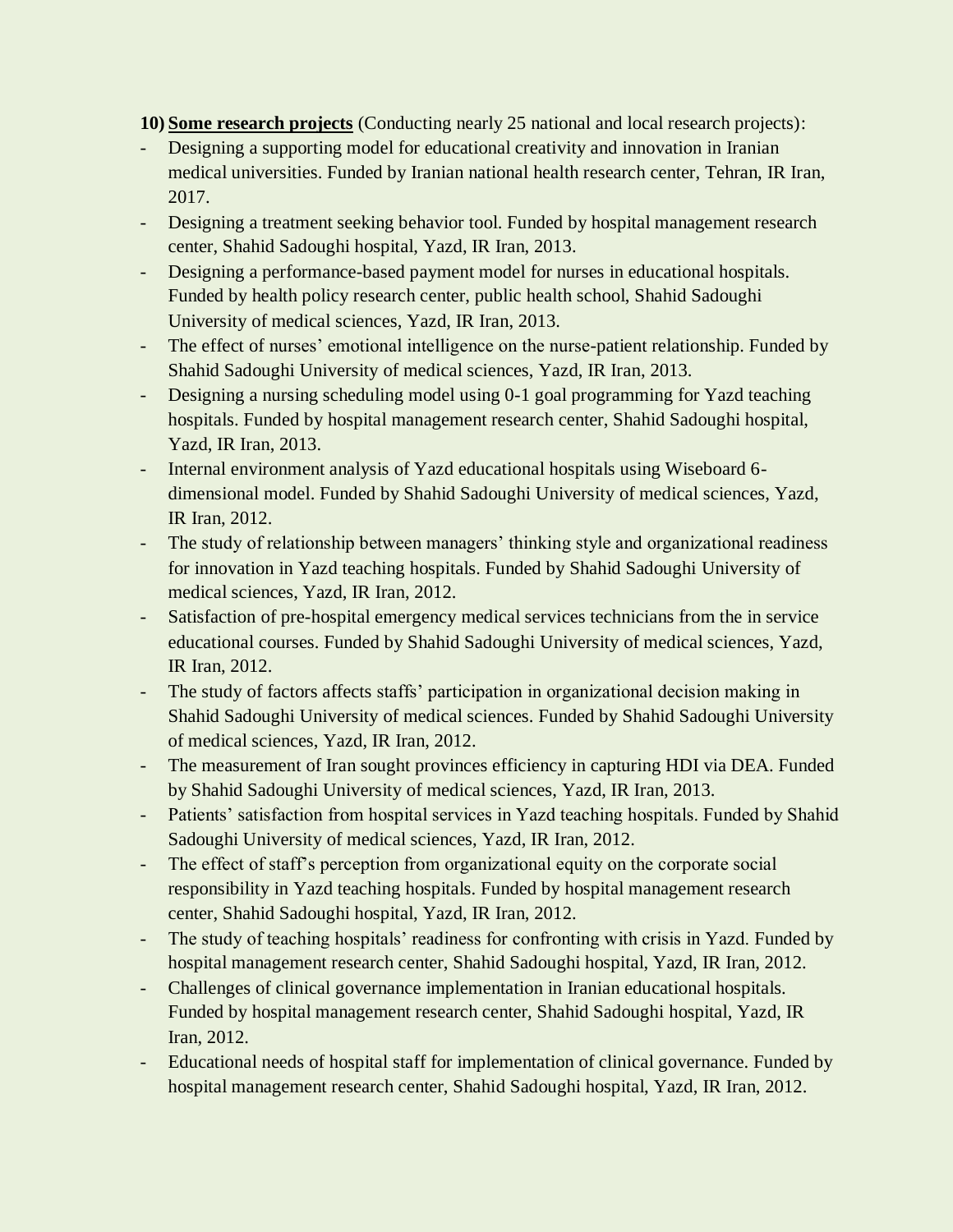**10) Some research projects** (Conducting nearly 25 national and local research projects):

- Designing a supporting model for educational creativity and innovation in Iranian medical universities. Funded by Iranian national health research center, Tehran, IR Iran, 2017.
- Designing a treatment seeking behavior tool. Funded by hospital management research center, Shahid Sadoughi hospital, Yazd, IR Iran, 2013.
- Designing a performance-based payment model for nurses in educational hospitals. Funded by health policy research center, public health school, Shahid Sadoughi University of medical sciences, Yazd, IR Iran, 2013.
- The effect of nurses' emotional intelligence on the nurse-patient relationship. Funded by Shahid Sadoughi University of medical sciences, Yazd, IR Iran, 2013.
- Designing a nursing scheduling model using 0-1 goal programming for Yazd teaching hospitals. Funded by hospital management research center, Shahid Sadoughi hospital, Yazd, IR Iran, 2013.
- Internal environment analysis of Yazd educational hospitals using Wiseboard 6 dimensional model. Funded by Shahid Sadoughi University of medical sciences, Yazd, IR Iran, 2012.
- The study of relationship between managers' thinking style and organizational readiness for innovation in Yazd teaching hospitals. Funded by Shahid Sadoughi University of medical sciences, Yazd, IR Iran, 2012.
- Satisfaction of pre-hospital emergency medical services technicians from the in service educational courses. Funded by Shahid Sadoughi University of medical sciences, Yazd, IR Iran, 2012.
- The study of factors affects staffs' participation in organizational decision making in Shahid Sadoughi University of medical sciences. Funded by Shahid Sadoughi University of medical sciences, Yazd, IR Iran, 2012.
- The measurement of Iran sought provinces efficiency in capturing HDI via DEA. Funded by Shahid Sadoughi University of medical sciences, Yazd, IR Iran, 2013.
- Patients' satisfaction from hospital services in Yazd teaching hospitals. Funded by Shahid Sadoughi University of medical sciences, Yazd, IR Iran, 2012.
- The effect of staff's perception from organizational equity on the corporate social responsibility in Yazd teaching hospitals. Funded by hospital management research center, Shahid Sadoughi hospital, Yazd, IR Iran, 2012.
- The study of teaching hospitals' readiness for confronting with crisis in Yazd. Funded by hospital management research center, Shahid Sadoughi hospital, Yazd, IR Iran, 2012.
- Challenges of clinical governance implementation in Iranian educational hospitals. Funded by hospital management research center, Shahid Sadoughi hospital, Yazd, IR Iran, 2012.
- Educational needs of hospital staff for implementation of clinical governance. Funded by hospital management research center, Shahid Sadoughi hospital, Yazd, IR Iran, 2012.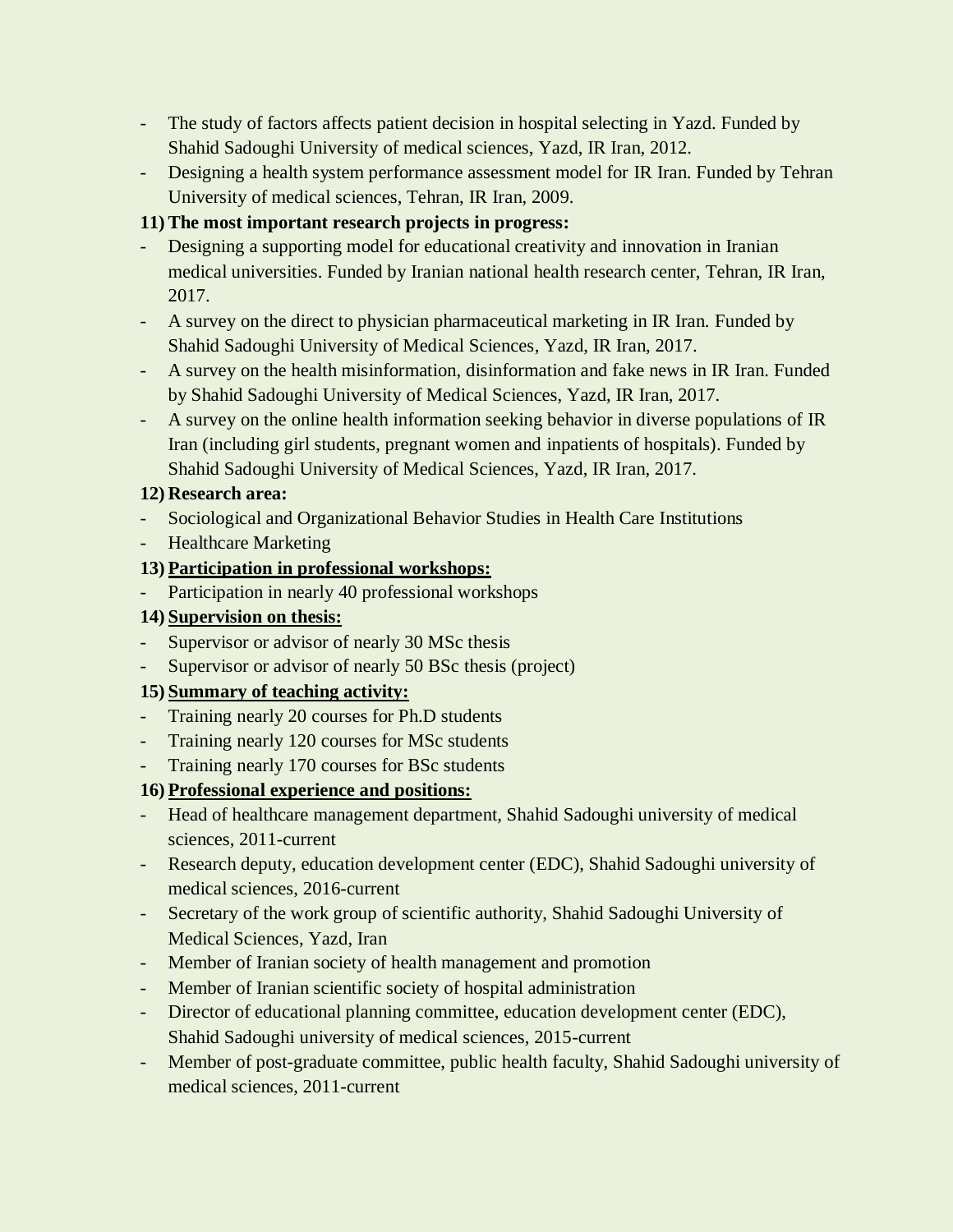- The study of factors affects patient decision in hospital selecting in Yazd. Funded by Shahid Sadoughi University of medical sciences, Yazd, IR Iran, 2012.
- Designing a health system performance assessment model for IR Iran. Funded by Tehran University of medical sciences, Tehran, IR Iran, 2009.

# **11) The most important research projects in progress:**

- Designing a supporting model for educational creativity and innovation in Iranian medical universities. Funded by Iranian national health research center, Tehran, IR Iran, 2017.
- A survey on the direct to physician pharmaceutical marketing in IR Iran. Funded by Shahid Sadoughi University of Medical Sciences, Yazd, IR Iran, 2017.
- A survey on the health misinformation, disinformation and fake news in IR Iran. Funded by Shahid Sadoughi University of Medical Sciences, Yazd, IR Iran, 2017.
- A survey on the online health information seeking behavior in diverse populations of IR Iran (including girl students, pregnant women and inpatients of hospitals). Funded by Shahid Sadoughi University of Medical Sciences, Yazd, IR Iran, 2017.

## **12) Research area:**

- Sociological and Organizational Behavior Studies in Health Care Institutions
- Healthcare Marketing

# **13) Participation in professional workshops:**

- Participation in nearly 40 professional workshops

# **14) Supervision on thesis:**

- Supervisor or advisor of nearly 30 MSc thesis
- Supervisor or advisor of nearly 50 BSc thesis (project)

# **15) Summary of teaching activity:**

- Training nearly 20 courses for Ph.D students
- Training nearly 120 courses for MSc students
- Training nearly 170 courses for BSc students

# **16) Professional experience and positions:**

- Head of healthcare management department, Shahid Sadoughi university of medical sciences, 2011-current
- Research deputy, education development center (EDC), Shahid Sadoughi university of medical sciences, 2016-current
- Secretary of the work group of scientific authority, Shahid Sadoughi University of Medical Sciences, Yazd, Iran
- Member of Iranian society of health management and promotion
- Member of Iranian scientific society of hospital administration
- Director of educational planning committee, education development center (EDC), Shahid Sadoughi university of medical sciences, 2015-current
- Member of post-graduate committee, public health faculty, Shahid Sadoughi university of medical sciences, 2011-current